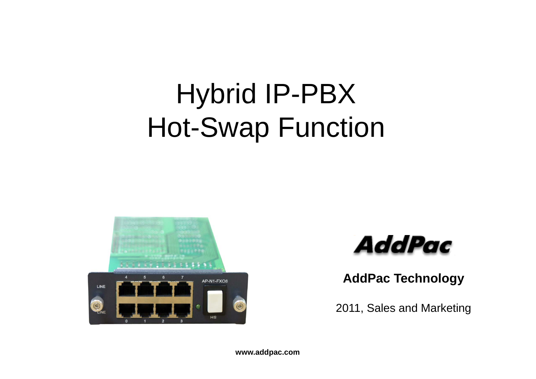# Hybrid IP-PBX Hot-Swap Function





**AddP T h l AddPac Technology**

2011, Sales and Marketing

**www.addpac.com**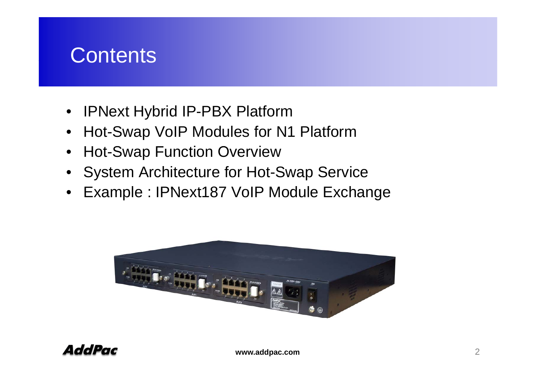### **Contents**

- •IPNext Hybrid IP-PBX Platform
- $\bullet$ Hot-Swap VoIP Modules for N1 Platform
- $\bullet$ Hot-Swap Function Overview
- System Architecture for Hot-Swap Service
- Example : IPNext187 VoIP Module Exchange

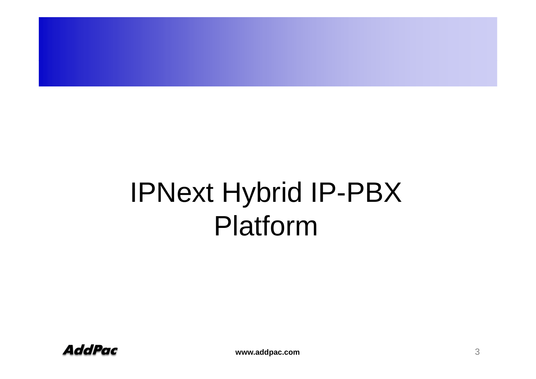# IPNext Hybrid IP-PBX Platform

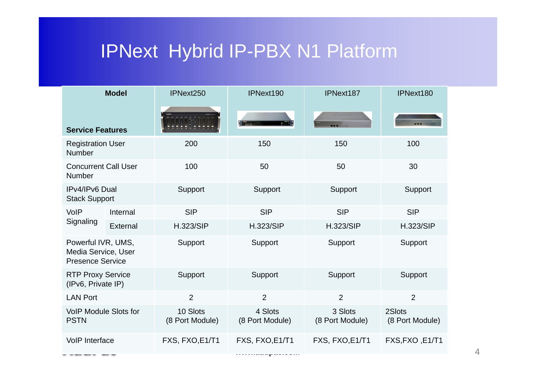## IPNext Hybrid IP-PBX N1 Platform

| <b>Model</b>                                                         |          | IPNext250                   | IPNext190                  | IPNext187                  | IPNext180                 |
|----------------------------------------------------------------------|----------|-----------------------------|----------------------------|----------------------------|---------------------------|
| <b>Service Features</b>                                              |          |                             | $\frac{1}{2}$              |                            |                           |
| <b>Registration User</b><br>Number                                   |          | 200                         | 150                        | 150                        | 100                       |
| <b>Concurrent Call User</b><br>Number                                |          | 100                         | 50                         | 50                         | 30                        |
| IPv4/IPv6 Dual<br><b>Stack Support</b>                               |          | Support                     | Support                    | Support                    | Support                   |
| <b>VoIP</b><br>Signaling                                             | Internal | <b>SIP</b>                  | <b>SIP</b>                 | <b>SIP</b>                 | <b>SIP</b>                |
|                                                                      | External | <b>H.323/SIP</b>            | <b>H.323/SIP</b>           | <b>H.323/SIP</b>           | <b>H.323/SIP</b>          |
| Powerful IVR, UMS,<br>Media Service, User<br><b>Presence Service</b> |          | Support                     | Support                    | Support                    | Support                   |
| <b>RTP Proxy Service</b><br>(IPv6, Private IP)                       |          | Support                     | Support                    | Support                    | Support                   |
| <b>LAN Port</b>                                                      |          | $\overline{2}$              | $\overline{2}$             | 2                          | 2                         |
| <b>VoIP Module Slots for</b><br><b>PSTN</b>                          |          | 10 Slots<br>(8 Port Module) | 4 Slots<br>(8 Port Module) | 3 Slots<br>(8 Port Module) | 2Slots<br>(8 Port Module) |
| <b>VoIP Interface</b>                                                |          | FXS, FXO, E1/T1             | FXS, FXO, E1/T1            | FXS, FXO, E1/T1            | FXS, FXO, E1/T1           |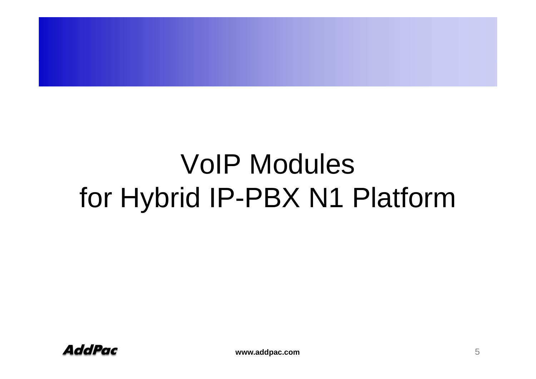# VoIP Modules for Hybrid IP-PBX N1 Platform

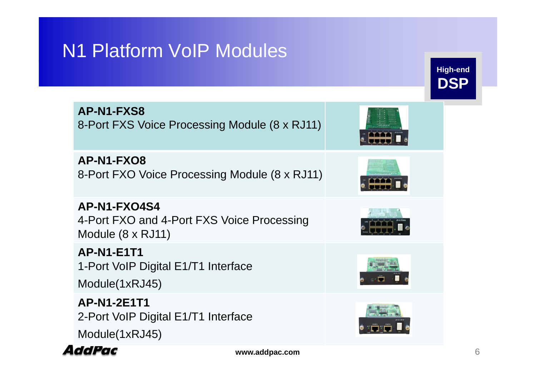### N1 Platform VoIP Modules

| <b>AP-N1-FXS8</b><br>8-Port FXS Voice Processing Module (8 x RJ11)              |  |
|---------------------------------------------------------------------------------|--|
| AP-N1-FXO8<br>8-Port FXO Voice Processing Module (8 x RJ11)                     |  |
| AP-N1-FXO4S4<br>4-Port FXO and 4-Port FXS Voice Processing<br>Module (8 x RJ11) |  |
| <b>AP-N1-E1T1</b><br>1-Port VoIP Digital E1/T1 Interface<br>Module(1xRJ45)      |  |
| <b>AP-N1-2E1T1</b><br>2-Port VoIP Digital E1/T1 Interface<br>Module(1xRJ45)     |  |



**High-end**

**DSP**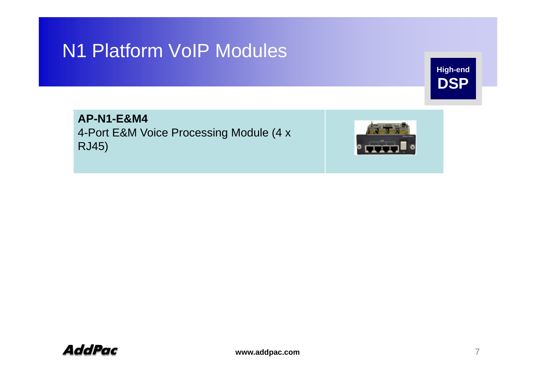### N1 Platform VoIP Modules

**High-end DSP**

**AP-N1-E&M4** 4-Port E&M Voice Processing Module (4 x RJ45)



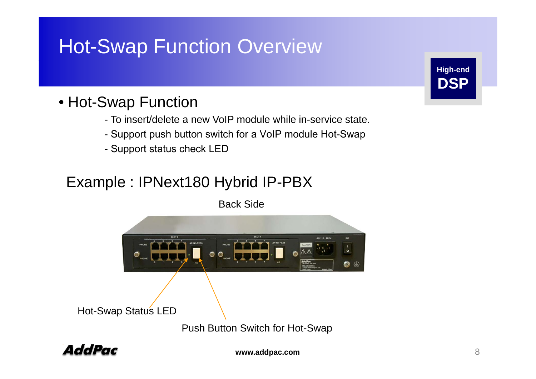### Hot-Swap Function Overview

#### • Hot-Swap Function

- To insert/delete a new VoIP module while in-service state.
- Support push button switch for a VoIP module Hot-Swap
- Support status check LED

### Example : IPNext180 Hybrid IP-PBX

Back Side





**www.addpac.com**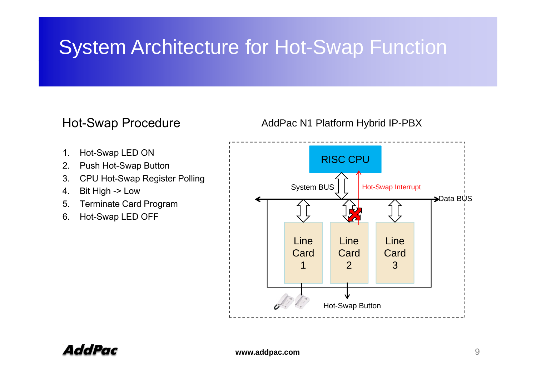### System Architecture for Hot-Swap Function

- 1. Hot-Swap LED ON
- 2. Push Hot-Swap Button
- 3. CPU Hot-Swap Register Polling
- $\overline{4}$  . 4. Bit High -> Low
- 5. Terminate Card Program
- 6. Hot-Swap LED OFF



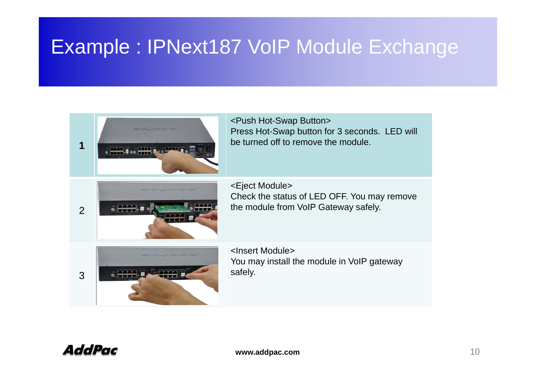### Example : IPNext187 VoIP Module Exchange